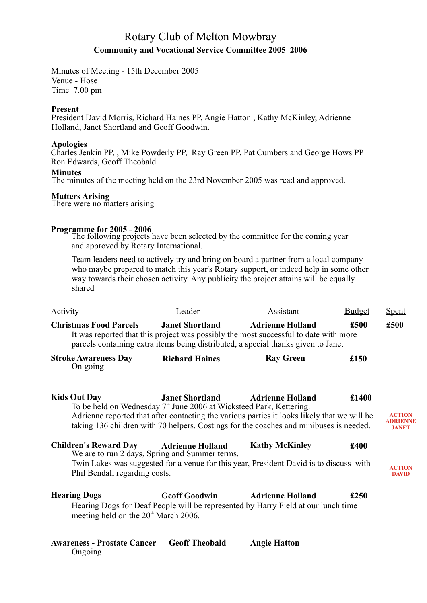## Rotary Club of Melton Mowbray **Community and Vocational Service Committee 2005 2006**

Minutes of Meeting - 15th December 2005 Venue - Hose Time 7.00 pm

### **Present**

President David Morris, Richard Haines PP, Angie Hatton, Kathy McKinley, Adrienne Holland, Janet Shortland and Geoff Goodwin.

#### **Apologies**

Charles Jenkin PP, , Mike Powderly PP, Ray Green PP, Pat Cumbers and George Hows PP Ron Edwards, Geoff Theobald

#### **Minutes**

The minutes of the meeting held on the 23rd November 2005 was read and approved.

#### **Matters Arising**

There were no matters arising

### **Programme for 2005 - 2006**

The following projects have been selected by the committee for the coming year and approved by Rotary International.

Team leaders need to actively try and bring on board a partner from a local company who maybe prepared to match this year's Rotary support, or indeed help in some other way towards their chosen activity. Any publicity the project attains will be equally shared

| <b>Activity</b>                                                                                                                                                                                                                                                                                                                                                                                                                                                                                                                                                                                                                                                                                                                                                                        | Leader                 | Assistant                                                                                                                                                                                            | <b>Budget</b> | <b>Spent</b>                              |
|----------------------------------------------------------------------------------------------------------------------------------------------------------------------------------------------------------------------------------------------------------------------------------------------------------------------------------------------------------------------------------------------------------------------------------------------------------------------------------------------------------------------------------------------------------------------------------------------------------------------------------------------------------------------------------------------------------------------------------------------------------------------------------------|------------------------|------------------------------------------------------------------------------------------------------------------------------------------------------------------------------------------------------|---------------|-------------------------------------------|
| <b>Christmas Food Parcels</b>                                                                                                                                                                                                                                                                                                                                                                                                                                                                                                                                                                                                                                                                                                                                                          | <b>Janet Shortland</b> | <b>Adrienne Holland</b><br>It was reported that this project was possibly the most successful to date with more<br>parcels containing extra items being distributed, a special thanks given to Janet | £500          | £500                                      |
| <b>Stroke Awareness Day</b><br>On going                                                                                                                                                                                                                                                                                                                                                                                                                                                                                                                                                                                                                                                                                                                                                | <b>Richard Haines</b>  | <b>Ray Green</b>                                                                                                                                                                                     | £150          |                                           |
| <b>Kids Out Day</b>                                                                                                                                                                                                                                                                                                                                                                                                                                                                                                                                                                                                                                                                                                                                                                    |                        |                                                                                                                                                                                                      | £1400         | <b>ACTION</b><br>ADRIENNE<br><b>JANET</b> |
| <b>Janet Shortland Adrienne Holland</b><br>To be held on Wednesday 7 <sup>th</sup> June 2006 at Wicksteed Park, Kettering.<br>Adrienne reported that after contacting the various parties it looks likely that we will be<br>taking 136 children with 70 helpers. Costings for the coaches and minibuses is needed.<br><b>Children's Reward Day</b><br><b>Kathy McKinley</b><br><b>Adrienne Holland</b><br>£400<br>We are to run 2 days, Spring and Summer terms.<br>Twin Lakes was suggested for a venue for this year, President David is to discuss with<br>Phil Bendall regarding costs.<br><b>Geoff Goodwin</b><br><b>Adrienne Holland</b><br>£250<br>Hearing Dogs for Deaf People will be represented by Harry Field at our lunch time<br>meeting held on the $20th$ March 2006. |                        |                                                                                                                                                                                                      |               | <b>ACTION</b><br><b>DAVID</b>             |
| <b>Hearing Dogs</b>                                                                                                                                                                                                                                                                                                                                                                                                                                                                                                                                                                                                                                                                                                                                                                    |                        |                                                                                                                                                                                                      |               |                                           |
| <b>Awareness - Prostate Cancer</b>                                                                                                                                                                                                                                                                                                                                                                                                                                                                                                                                                                                                                                                                                                                                                     | <b>Geoff Theobald</b>  | <b>Angie Hatton</b>                                                                                                                                                                                  |               |                                           |

Ongoing